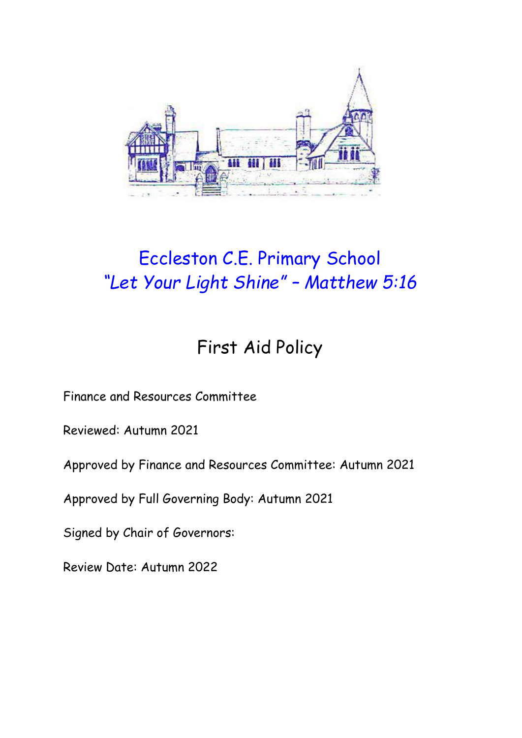

# Eccleston C.E. Primary School *"Let Your Light Shine" – Matthew 5:16*

## First Aid Policy

Finance and Resources Committee

Reviewed: Autumn 2021

Approved by Finance and Resources Committee: Autumn 2021

Approved by Full Governing Body: Autumn 2021

Signed by Chair of Governors:

Review Date: Autumn 2022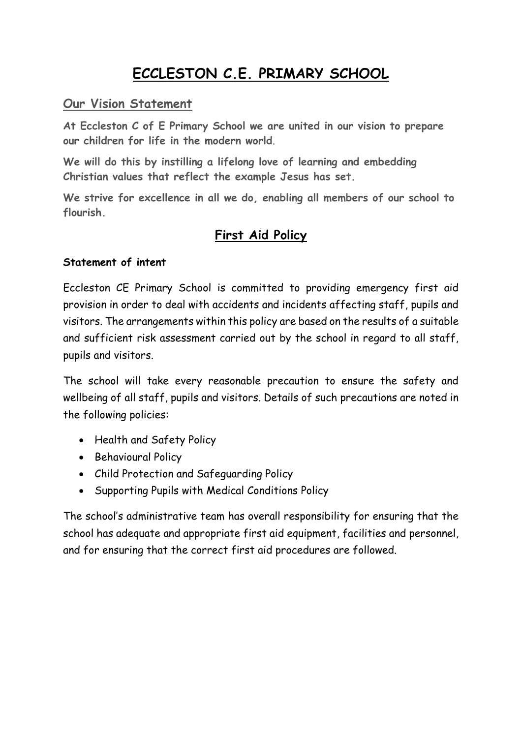### **ECCLESTON C.E. PRIMARY SCHOOL**

#### **Our Vision Statement**

**At Eccleston C of E Primary School we are united in our vision to prepare our children for life in the modern world**.

**We will do this by instilling a lifelong love of learning and embedding Christian values that reflect the example Jesus has set.**

**We strive for excellence in all we do, enabling all members of our school to flourish.**

### **First Aid Policy**

#### **Statement of intent**

Eccleston CE Primary School is committed to providing emergency first aid provision in order to deal with accidents and incidents affecting staff, pupils and visitors. The arrangements within this policy are based on the results of a suitable and sufficient risk assessment carried out by the school in regard to all staff, pupils and visitors.

The school will take every reasonable precaution to ensure the safety and wellbeing of all staff, pupils and visitors. Details of such precautions are noted in the following policies:

- Health and Safety Policy
- Behavioural Policy
- Child Protection and Safeguarding Policy
- Supporting Pupils with Medical Conditions Policy

The school's administrative team has overall responsibility for ensuring that the school has adequate and appropriate first aid equipment, facilities and personnel, and for ensuring that the correct first aid procedures are followed.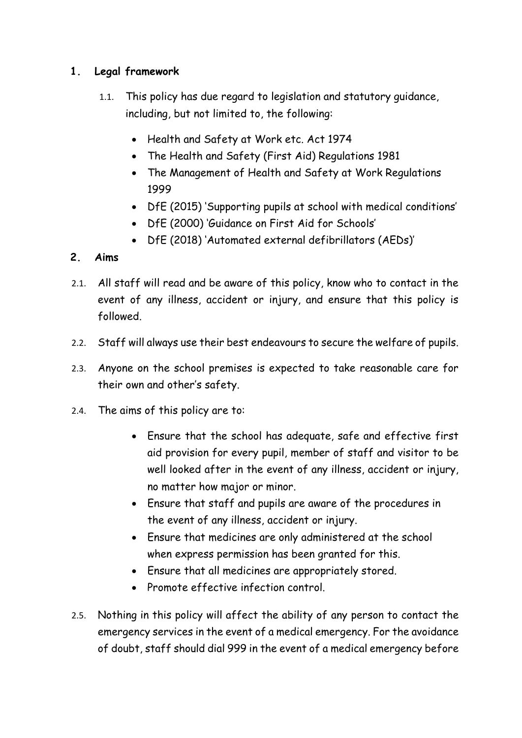#### **1. Legal framework**

- 1.1. This policy has due regard to legislation and statutory guidance, including, but not limited to, the following:
	- Health and Safety at Work etc. Act 1974
	- The Health and Safety (First Aid) Regulations 1981
	- The Management of Health and Safety at Work Regulations 1999
	- DfE (2015) 'Supporting pupils at school with medical conditions'
	- DfE (2000) 'Guidance on First Aid for Schools'
	- DfE (2018) 'Automated external defibrillators (AEDs)'

#### **2. Aims**

- 2.1. All staff will read and be aware of this policy, know who to contact in the event of any illness, accident or injury, and ensure that this policy is followed.
- 2.2. Staff will always use their best endeavours to secure the welfare of pupils.
- 2.3. Anyone on the school premises is expected to take reasonable care for their own and other's safety.
- 2.4. The aims of this policy are to:
	- Ensure that the school has adequate, safe and effective first aid provision for every pupil, member of staff and visitor to be well looked after in the event of any illness, accident or injury, no matter how major or minor.
	- Ensure that staff and pupils are aware of the procedures in the event of any illness, accident or injury.
	- Ensure that medicines are only administered at the school when express permission has been granted for this.
	- Ensure that all medicines are appropriately stored.
	- Promote effective infection control.
- 2.5. Nothing in this policy will affect the ability of any person to contact the emergency services in the event of a medical emergency. For the avoidance of doubt, staff should dial 999 in the event of a medical emergency before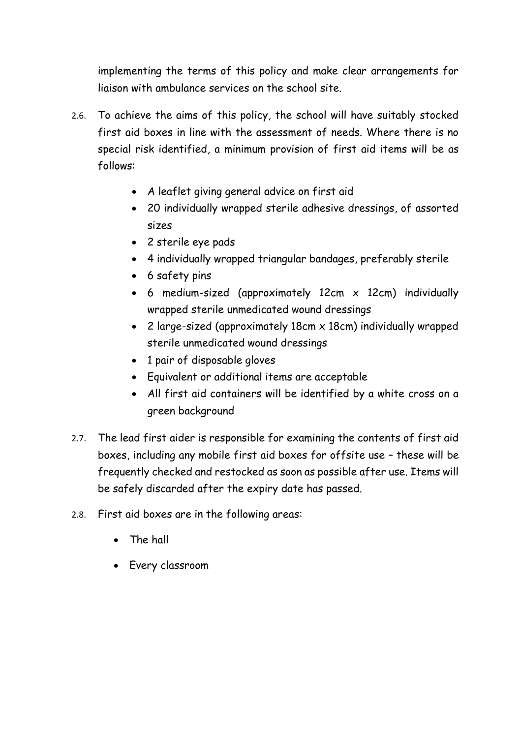implementing the terms of this policy and make clear arrangements for liaison with ambulance services on the school site.

- 2.6. To achieve the aims of this policy, the school will have suitably stocked first aid boxes in line with the assessment of needs. Where there is no special risk identified, a minimum provision of first aid items will be as follows:
	- A leaflet giving general advice on first aid
	- 20 individually wrapped sterile adhesive dressings, of assorted sizes
	- 2 sterile eye pads
	- 4 individually wrapped triangular bandages, preferably sterile
	- 6 safety pins
	- 6 medium-sized (approximately 12cm x 12cm) individually wrapped sterile unmedicated wound dressings
	- 2 large-sized (approximately 18cm x 18cm) individually wrapped sterile unmedicated wound dressings
	- 1 pair of disposable gloves
	- Equivalent or additional items are acceptable
	- All first aid containers will be identified by a white cross on a green background
- 2.7. The lead first aider is responsible for examining the contents of first aid boxes, including any mobile first aid boxes for offsite use – these will be frequently checked and restocked as soon as possible after use. Items will be safely discarded after the expiry date has passed.
- 2.8. First aid boxes are in the following areas:
	- The hall
	- Every classroom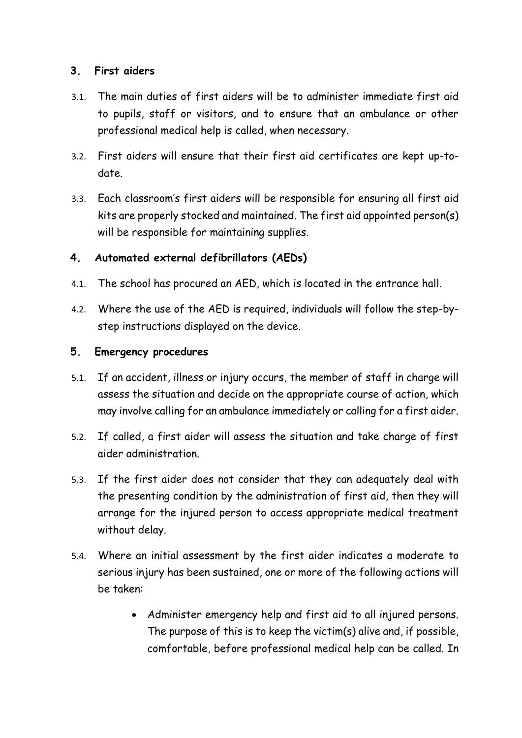#### **3. First aiders**

- 3.1. The main duties of first aiders will be to administer immediate first aid to pupils, staff or visitors, and to ensure that an ambulance or other professional medical help is called, when necessary.
- 3.2. First aiders will ensure that their first aid certificates are kept up-todate.
- 3.3. Each classroom's first aiders will be responsible for ensuring all first aid kits are properly stocked and maintained. The first aid appointed person(s) will be responsible for maintaining supplies.

#### **4. Automated external defibrillators (AEDs)**

- 4.1. The school has procured an AED, which is located in the entrance hall.
- 4.2. Where the use of the AED is required, individuals will follow the step-bystep instructions displayed on the device.

#### **5. Emergency procedures**

- 5.1. If an accident, illness or injury occurs, the member of staff in charge will assess the situation and decide on the appropriate course of action, which may involve calling for an ambulance immediately or calling for a first aider.
- 5.2. If called, a first aider will assess the situation and take charge of first aider administration.
- 5.3. If the first aider does not consider that they can adequately deal with the presenting condition by the administration of first aid, then they will arrange for the injured person to access appropriate medical treatment without delay.
- 5.4. Where an initial assessment by the first aider indicates a moderate to serious injury has been sustained, one or more of the following actions will be taken:
	- Administer emergency help and first aid to all injured persons. The purpose of this is to keep the victim(s) alive and, if possible, comfortable, before professional medical help can be called. In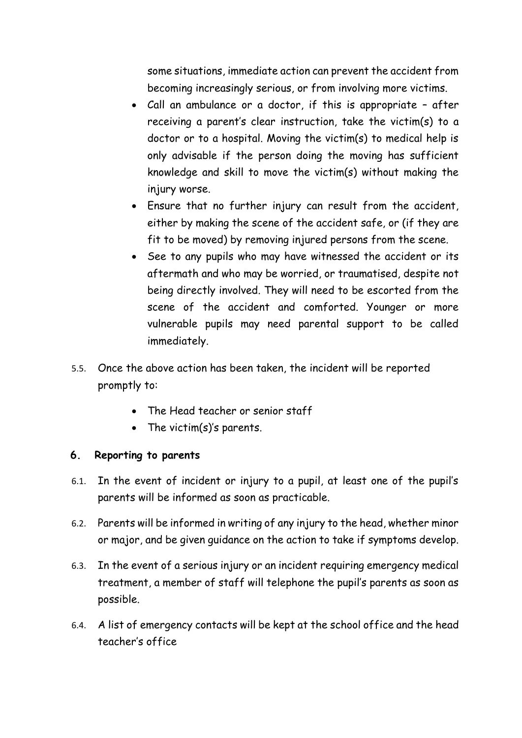some situations, immediate action can prevent the accident from becoming increasingly serious, or from involving more victims.

- Call an ambulance or a doctor, if this is appropriate after receiving a parent's clear instruction, take the victim(s) to a doctor or to a hospital. Moving the victim(s) to medical help is only advisable if the person doing the moving has sufficient knowledge and skill to move the victim(s) without making the injury worse.
- Ensure that no further injury can result from the accident, either by making the scene of the accident safe, or (if they are fit to be moved) by removing injured persons from the scene.
- See to any pupils who may have witnessed the accident or its aftermath and who may be worried, or traumatised, despite not being directly involved. They will need to be escorted from the scene of the accident and comforted. Younger or more vulnerable pupils may need parental support to be called immediately.
- 5.5. Once the above action has been taken, the incident will be reported promptly to:
	- The Head teacher or senior staff
	- The victim(s)'s parents.

#### **6. Reporting to parents**

- 6.1. In the event of incident or injury to a pupil, at least one of the pupil's parents will be informed as soon as practicable.
- 6.2. Parents will be informed in writing of any injury to the head, whether minor or major, and be given guidance on the action to take if symptoms develop.
- 6.3. In the event of a serious injury or an incident requiring emergency medical treatment, a member of staff will telephone the pupil's parents as soon as possible.
- 6.4. A list of emergency contacts will be kept at the school office and the head teacher's office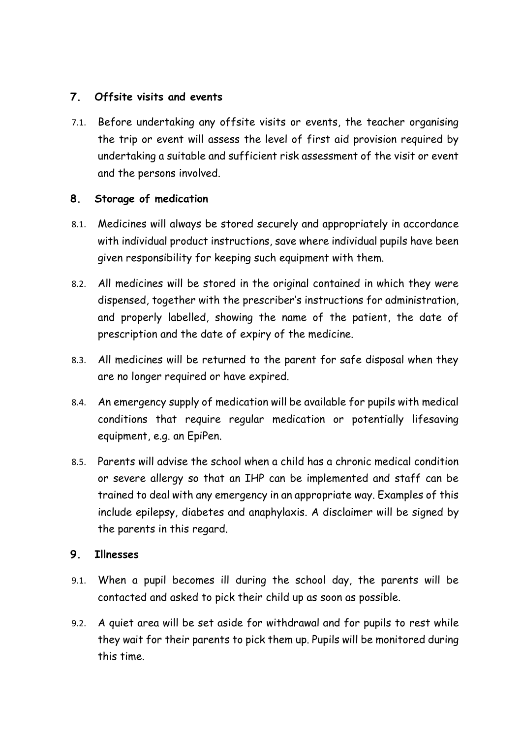#### **7. Offsite visits and events**

7.1. Before undertaking any offsite visits or events, the teacher organising the trip or event will assess the level of first aid provision required by undertaking a suitable and sufficient risk assessment of the visit or event and the persons involved.

#### **8. Storage of medication**

- 8.1. Medicines will always be stored securely and appropriately in accordance with individual product instructions, save where individual pupils have been given responsibility for keeping such equipment with them.
- 8.2. All medicines will be stored in the original contained in which they were dispensed, together with the prescriber's instructions for administration, and properly labelled, showing the name of the patient, the date of prescription and the date of expiry of the medicine.
- 8.3. All medicines will be returned to the parent for safe disposal when they are no longer required or have expired.
- 8.4. An emergency supply of medication will be available for pupils with medical conditions that require regular medication or potentially lifesaving equipment, e.g. an EpiPen.
- 8.5. Parents will advise the school when a child has a chronic medical condition or severe allergy so that an IHP can be implemented and staff can be trained to deal with any emergency in an appropriate way. Examples of this include epilepsy, diabetes and anaphylaxis. A disclaimer will be signed by the parents in this regard.

#### **9. Illnesses**

- 9.1. When a pupil becomes ill during the school day, the parents will be contacted and asked to pick their child up as soon as possible.
- 9.2. A quiet area will be set aside for withdrawal and for pupils to rest while they wait for their parents to pick them up. Pupils will be monitored during this time.